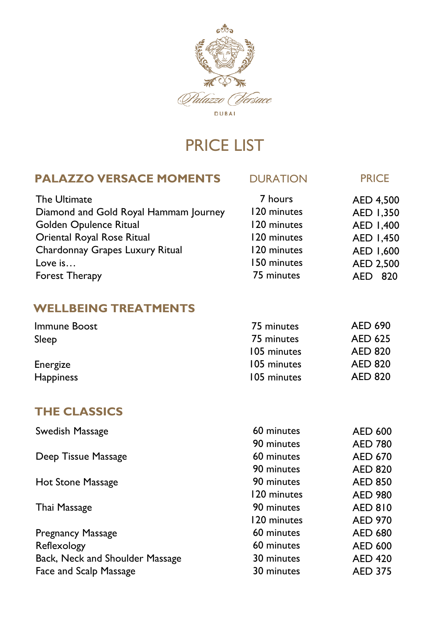

# PRICE LIST

### **PALAZZO VERSACE MOMENTS** DURATION **PRICE**

| 7 hours     | AED 4,500         |
|-------------|-------------------|
| 120 minutes | AED 1,350         |
| 120 minutes | AED 1,400         |
| 120 minutes | AED 1,450         |
| 120 minutes | AED 1,600         |
| 150 minutes | AED 2,500         |
| 75 minutes  | 820<br><b>AED</b> |
|             |                   |

### **WELLBEING TREATMENTS**

| Immune Boost     | 75 minutes  | AED 690        |
|------------------|-------------|----------------|
| Sleep            | 75 minutes  | <b>AED 625</b> |
|                  | 105 minutes | <b>AED 820</b> |
| Energize         | 105 minutes | <b>AED 820</b> |
| <b>Happiness</b> | 105 minutes | <b>AED 820</b> |

### **THE CLASSICS**

| Swedish Massage                 | 60 minutes  | <b>AED 600</b> |
|---------------------------------|-------------|----------------|
|                                 | 90 minutes  | <b>AED 780</b> |
| Deep Tissue Massage             | 60 minutes  | <b>AED 670</b> |
|                                 | 90 minutes  | <b>AED 820</b> |
| Hot Stone Massage               | 90 minutes  | <b>AED 850</b> |
|                                 | 120 minutes | <b>AED 980</b> |
| Thai Massage                    | 90 minutes  | <b>AED 810</b> |
|                                 | 120 minutes | <b>AED 970</b> |
| Pregnancy Massage               | 60 minutes  | <b>AED 680</b> |
| Reflexology                     | 60 minutes  | <b>AED 600</b> |
| Back, Neck and Shoulder Massage | 30 minutes  | <b>AED 420</b> |
| Face and Scalp Massage          | 30 minutes  | <b>AED 375</b> |
|                                 |             |                |